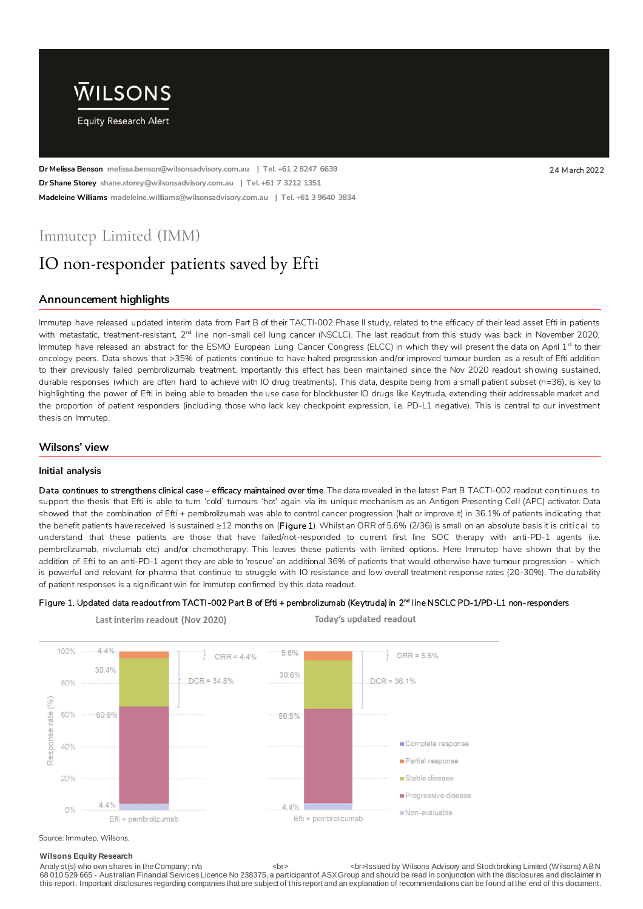

**Dr Melissa Benson melissa.benson@wilsonsadvisory.com.au | Tel. +61 2 8247 6639** 24 M arch 2022 **Dr Shane Storey shane.storey@wilsonsadvisory.com.au | Tel. +61 7 3212 1351 Madeleine Williams madeleine.willliams@wilsonsadvisory.com.au | Tel. +61 3 9640 3834**

# Immutep Limited (IMM)

# IO non-responder patients saved by Efti

Last interim readout (Nov 2020)

## **Announcement highlights**

Immutep have released updated interim data from Part B of their TACTI-002 Phase II study, related to the efficacy of their lead asset Efti in patients with metastatic, treatment-resistant, 2<sup>nd</sup> line non-small cell lung cancer (NSCLC). The last readout from this study was back in November 2020. Immutep have released an abstract for the ESMO European Lung Cancer Congress (ELCC) in which they will present the data on April 1st to their oncology peers. Data shows that >35% of patients continue to have halted progression and/or improved tumour burden as a result of Efti addition to their previously failed pembrolizumab treatment. Importantly this effect has been maintained since the Nov 2020 readout sh owing sustained, durable responses (which are often hard to achieve with IO drug treatments). This data, despite being from a small patient subset (n=36), is key to highlighting the power of Efti in being able to broaden the use case for blockbuster IO drugs like Keytruda, extending their addressable market and the proportion of patient responders (including those who lack key checkpoint expression, i.e. PD-L1 negative). This is central to our investment thesis on Immutep.

### **Wilsons' view**

#### **Initial analysis**

Data continues to strengthens clinical case - efficacy maintained over time. The data revealed in the latest Part B TACTI-002 readout continues to support the thesis that Efti is able to turn 'cold' tumours 'hot' again via its unique mechanism as an Antigen Presenting Cell (APC) activator. Data showed that the combination of Efti + pembrolizumab was able to control cancer progression (halt or improve it) in 36.1% of patients indicating that the benefit patients have received is sustained ≥12 months on (Figure 1). Whilst an ORR of 5.6% (2/36) is small on an absolute basis it is critical to understand that these patients are those that have failed/not-responded to current first line SOC therapy with anti-PD-1 agents (i.e. pembrolizumab, nivolumab etc) and/or chemotherapy. This leaves these patients with limited options. Here Immutep have shown that by the addition of Efti to an anti-PD-1 agent they are able to 'rescue' an additional 36% of patients that would otherwise have tumour progression – which is powerful and relevant for pharma that continue to struggle with IO resistance and low overall treatment response rates (20-30%). The durability of patient responses is a significant win for Immutep confirmed by this data readout.

#### Figure 1. Updated data readout from TACTI-002 Part B of Efti + pembrolizumab (Keytruda) in 2<sup>nd</sup> line NSCLC PD-1/PD-L1 non-responders



Today's updated readout

#### Source: Immutep, Wilsons.

#### **Wilsons Equity Research**

Analy st(s) who own shares in the Company: n/a <br> <br>Issued by Wilsons Advisory and Stockbroking Limited (Wilsons) ABN 68 010 529 665 - Australian Financial Services Licence No 238375, a participant of ASX Group and should be read in conjunction with the disclosures and disclaimer in this report. Important disclosures regarding companies that are subject of this report and an explanation of recommendations can be found at the end of this document.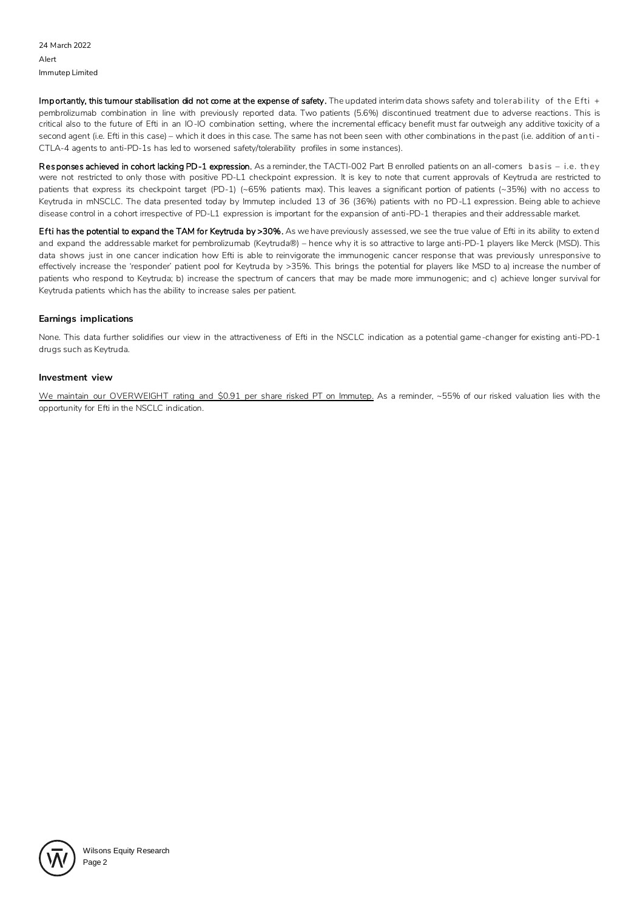Importantly, this tumour stabilisation did not come at the expense of safety. The updated interim data shows safety and tolerability of the Efti + pembrolizumab combination in line with previously reported data. Two patients (5.6%) discontinued treatment due to adverse reactions. This is critical also to the future of Efti in an IO-IO combination setting, where the incremental efficacy benefit must far outweigh any additive toxicity of a second agent (i.e. Efti in this case) – which it does in this case. The same has not been seen with other combinations in the past (i.e. addition of an ti -CTLA-4 agents to anti-PD-1s has led to worsened safety/tolerability profiles in some instances).

Responses achieved in cohort lacking PD-1 expression. As a reminder, the TACTI-002 Part B enrolled patients on an all-comers basis – i.e. they were not restricted to only those with positive PD-L1 checkpoint expression. It is key to note that current approvals of Keytruda are restricted to patients that express its checkpoint target (PD-1) (~65% patients max). This leaves a significant portion of patients (~35%) with no access to Keytruda in mNSCLC. The data presented today by Immutep included 13 of 36 (36%) patients with no PD-L1 expression. Being able to achieve disease control in a cohort irrespective of PD-L1 expression is important for the expansion of anti-PD-1 therapies and their addressable market.

Efti has the potential to expand the TAM for Keytruda by >30%. As we have previously assessed, we see the true value of Efti in its ability to exten d and expand the addressable market for pembrolizumab (Keytruda®) – hence why it is so attractive to large anti-PD-1 players like Merck (MSD). This data shows just in one cancer indication how Efti is able to reinvigorate the immunogenic cancer response that was previously unresponsive to effectively increase the 'responder' patient pool for Keytruda by >35%. This brings the potential for players like MSD to a) increase the number of patients who respond to Keytruda; b) increase the spectrum of cancers that may be made more immunogenic; and c) achieve longer survival for Keytruda patients which has the ability to increase sales per patient.

#### **Earnings implications**

None. This data further solidifies our view in the attractiveness of Efti in the NSCLC indication as a potential game-changer for existing anti-PD-1 drugs such as Keytruda.

#### **Investment view**

We maintain our OVERWEIGHT rating and \$0.91 per share risked PT on Immutep. As a reminder, ~55% of our risked valuation lies with the opportunity for Efti in the NSCLC indication.